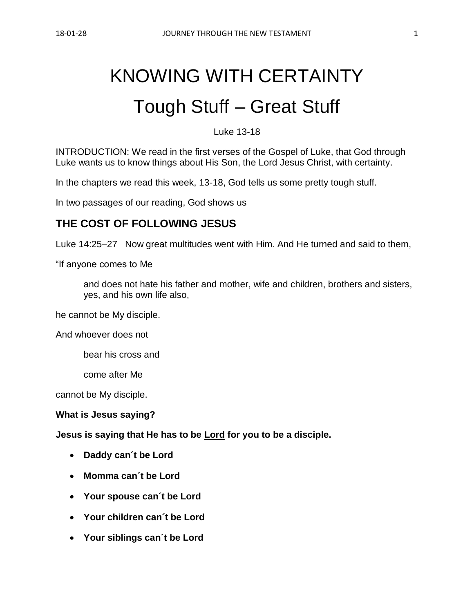# KNOWING WITH CERTAINTY Tough Stuff – Great Stuff

#### Luke 13-18

INTRODUCTION: We read in the first verses of the Gospel of Luke, that God through Luke wants us to know things about His Son, the Lord Jesus Christ, with certainty.

In the chapters we read this week, 13-18, God tells us some pretty tough stuff.

In two passages of our reading, God shows us

# **THE COST OF FOLLOWING JESUS**

Luke 14:25–27 Now great multitudes went with Him. And He turned and said to them,

"If anyone comes to Me

and does not hate his father and mother, wife and children, brothers and sisters, yes, and his own life also,

he cannot be My disciple.

And whoever does not

bear his cross and

come after Me

cannot be My disciple.

**What is Jesus saying?**

**Jesus is saying that He has to be Lord for you to be a disciple.**

- **Daddy can´t be Lord**
- **Momma can´t be Lord**
- **Your spouse can´t be Lord**
- **Your children can´t be Lord**
- **Your siblings can´t be Lord**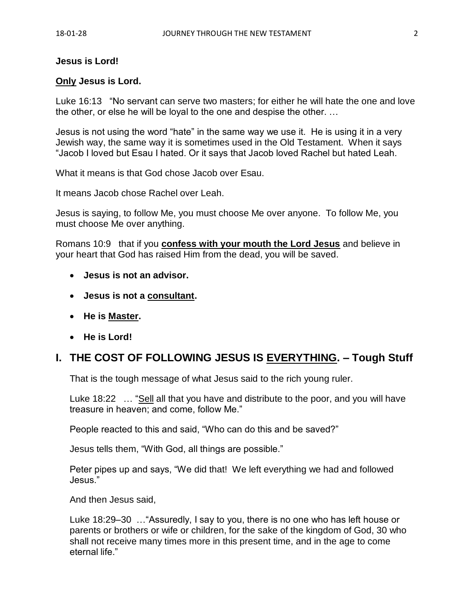## **Jesus is Lord!**

#### **Only Jesus is Lord.**

Luke 16:13 "No servant can serve two masters; for either he will hate the one and love the other, or else he will be loyal to the one and despise the other. …

Jesus is not using the word "hate" in the same way we use it. He is using it in a very Jewish way, the same way it is sometimes used in the Old Testament. When it says "Jacob I loved but Esau I hated. Or it says that Jacob loved Rachel but hated Leah.

What it means is that God chose Jacob over Esau.

It means Jacob chose Rachel over Leah.

Jesus is saying, to follow Me, you must choose Me over anyone. To follow Me, you must choose Me over anything.

Romans 10:9 that if you **confess with your mouth the Lord Jesus** and believe in your heart that God has raised Him from the dead, you will be saved.

- **Jesus is not an advisor.**
- **Jesus is not a consultant.**
- **He is Master.**
- **He is Lord!**

# **I. THE COST OF FOLLOWING JESUS IS EVERYTHING. – Tough Stuff**

That is the tough message of what Jesus said to the rich young ruler.

Luke 18:22 … "Sell all that you have and distribute to the poor, and you will have treasure in heaven; and come, follow Me."

People reacted to this and said, "Who can do this and be saved?"

Jesus tells them, "With God, all things are possible."

Peter pipes up and says, "We did that! We left everything we had and followed Jesus."

And then Jesus said,

Luke 18:29–30 …"Assuredly, I say to you, there is no one who has left house or parents or brothers or wife or children, for the sake of the kingdom of God, 30 who shall not receive many times more in this present time, and in the age to come eternal life."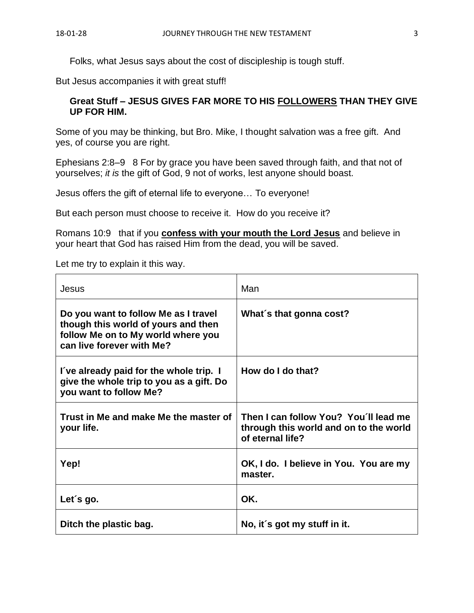Folks, what Jesus says about the cost of discipleship is tough stuff.

But Jesus accompanies it with great stuff!

## **Great Stuff – JESUS GIVES FAR MORE TO HIS FOLLOWERS THAN THEY GIVE UP FOR HIM.**

Some of you may be thinking, but Bro. Mike, I thought salvation was a free gift. And yes, of course you are right.

Ephesians 2:8–9 8 For by grace you have been saved through faith, and that not of yourselves; *it is* the gift of God, 9 not of works, lest anyone should boast.

Jesus offers the gift of eternal life to everyone… To everyone!

But each person must choose to receive it. How do you receive it?

Romans 10:9 that if you **confess with your mouth the Lord Jesus** and believe in your heart that God has raised Him from the dead, you will be saved.

Let me try to explain it this way.

| Jesus                                                                                                                                          | Man                                                                                                 |
|------------------------------------------------------------------------------------------------------------------------------------------------|-----------------------------------------------------------------------------------------------------|
| Do you want to follow Me as I travel<br>though this world of yours and then<br>follow Me on to My world where you<br>can live forever with Me? | What's that gonna cost?                                                                             |
| I've already paid for the whole trip. I<br>give the whole trip to you as a gift. Do<br>you want to follow Me?                                  | How do I do that?                                                                                   |
| Trust in Me and make Me the master of<br>your life.                                                                                            | Then I can follow You? You'll lead me<br>through this world and on to the world<br>of eternal life? |
| Yep!                                                                                                                                           | OK, I do. I believe in You. You are my<br>master.                                                   |
| Let's go.                                                                                                                                      | OK.                                                                                                 |
| Ditch the plastic bag.                                                                                                                         | No, it's got my stuff in it.                                                                        |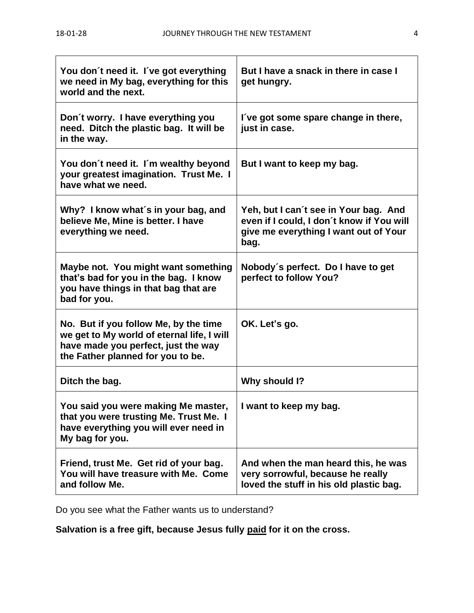| You don't need it. I've got everything<br>we need in My bag, everything for this<br>world and the next.                                                         | But I have a snack in there in case I<br>get hungry.                                                                                |
|-----------------------------------------------------------------------------------------------------------------------------------------------------------------|-------------------------------------------------------------------------------------------------------------------------------------|
| Don't worry. I have everything you<br>need. Ditch the plastic bag. It will be<br>in the way.                                                                    | I've got some spare change in there,<br>just in case.                                                                               |
| You don't need it. I'm wealthy beyond<br>your greatest imagination. Trust Me. I<br>have what we need.                                                           | But I want to keep my bag.                                                                                                          |
| Why? I know what's in your bag, and<br>believe Me, Mine is better. I have<br>everything we need.                                                                | Yeh, but I can't see in Your bag. And<br>even if I could, I don't know if You will<br>give me everything I want out of Your<br>bag. |
| Maybe not. You might want something<br>that's bad for you in the bag. I know<br>you have things in that bag that are<br>bad for you.                            | Nobody's perfect. Do I have to get<br>perfect to follow You?                                                                        |
| No. But if you follow Me, by the time<br>we get to My world of eternal life, I will<br>have made you perfect, just the way<br>the Father planned for you to be. | OK. Let's go.                                                                                                                       |
| Ditch the bag.                                                                                                                                                  | Why should I?                                                                                                                       |
| You said you were making Me master,<br>that you were trusting Me. Trust Me. I<br>have everything you will ever need in<br>My bag for you.                       | I want to keep my bag.                                                                                                              |
| Friend, trust Me. Get rid of your bag.<br>You will have treasure with Me. Come<br>and follow Me.                                                                | And when the man heard this, he was<br>very sorrowful, because he really<br>loved the stuff in his old plastic bag.                 |

Do you see what the Father wants us to understand?

**Salvation is a free gift, because Jesus fully paid for it on the cross.**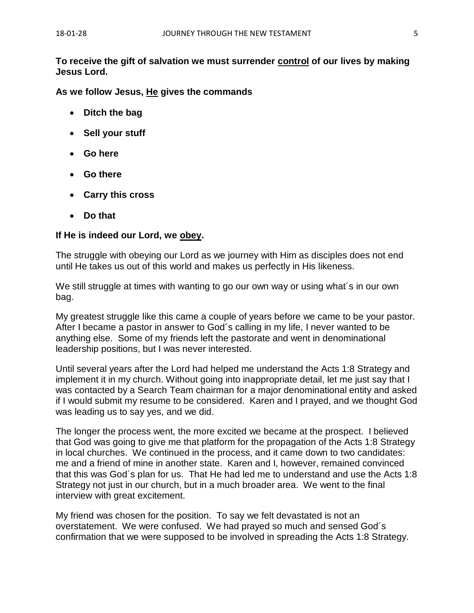**To receive the gift of salvation we must surrender control of our lives by making Jesus Lord.**

**As we follow Jesus, He gives the commands**

- **Ditch the bag**
- **Sell your stuff**
- **Go here**
- **Go there**
- **Carry this cross**
- **Do that**

## **If He is indeed our Lord, we obey.**

The struggle with obeying our Lord as we journey with Him as disciples does not end until He takes us out of this world and makes us perfectly in His likeness.

We still struggle at times with wanting to go our own way or using what's in our own bag.

My greatest struggle like this came a couple of years before we came to be your pastor. After I became a pastor in answer to God´s calling in my life, I never wanted to be anything else. Some of my friends left the pastorate and went in denominational leadership positions, but I was never interested.

Until several years after the Lord had helped me understand the Acts 1:8 Strategy and implement it in my church. Without going into inappropriate detail, let me just say that I was contacted by a Search Team chairman for a major denominational entity and asked if I would submit my resume to be considered. Karen and I prayed, and we thought God was leading us to say yes, and we did.

The longer the process went, the more excited we became at the prospect. I believed that God was going to give me that platform for the propagation of the Acts 1:8 Strategy in local churches. We continued in the process, and it came down to two candidates: me and a friend of mine in another state. Karen and I, however, remained convinced that this was God´s plan for us. That He had led me to understand and use the Acts 1:8 Strategy not just in our church, but in a much broader area. We went to the final interview with great excitement.

My friend was chosen for the position. To say we felt devastated is not an overstatement. We were confused. We had prayed so much and sensed God´s confirmation that we were supposed to be involved in spreading the Acts 1:8 Strategy.